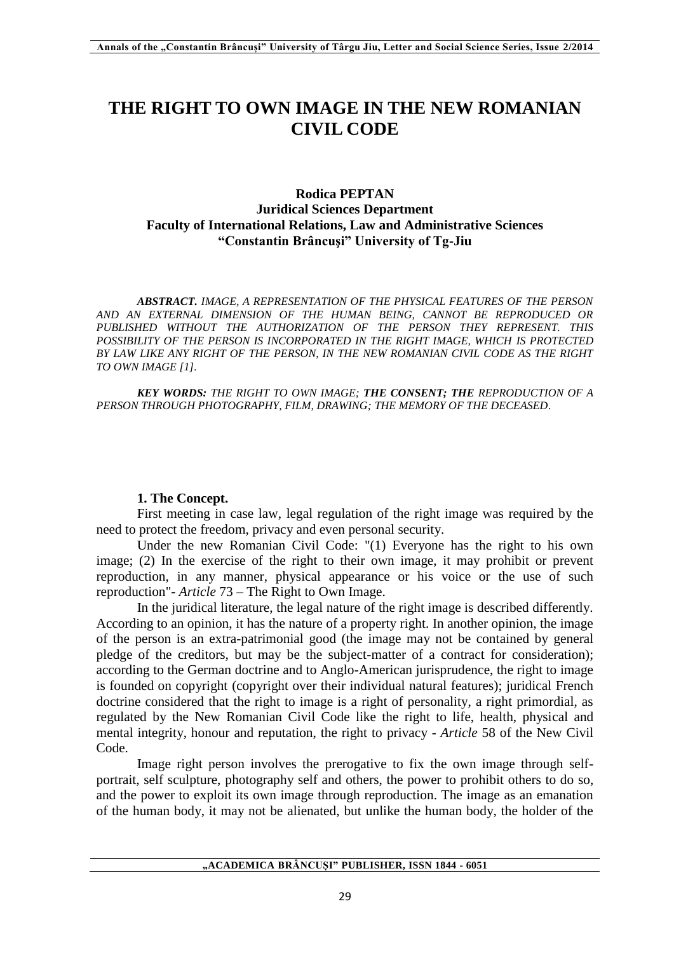## **THE RIGHT TO OWN IMAGE IN THE NEW ROMANIAN CIVIL CODE**

## **Rodica PEPTAN Juridical Sciences Department Faculty of International Relations, Law and Administrative Sciences "Constantin Brâncuşi" University of Tg-Jiu**

*ABSTRACT. IMAGE, A REPRESENTATION OF THE PHYSICAL FEATURES OF THE PERSON AND AN EXTERNAL DIMENSION OF THE HUMAN BEING, CANNOT BE REPRODUCED OR PUBLISHED WITHOUT THE AUTHORIZATION OF THE PERSON THEY REPRESENT. THIS*  POSSIBILITY OF THE PERSON IS INCORPORATED IN THE RIGHT IMAGE, WHICH IS PROTECTED *BY LAW LIKE ANY RIGHT OF THE PERSON, IN THE NEW ROMANIAN CIVIL CODE AS THE RIGHT TO OWN IMAGE [1].*

*KEY WORDS: THE RIGHT TO OWN IMAGE; THE CONSENT; THE REPRODUCTION OF A PERSON THROUGH PHOTOGRAPHY, FILM, DRAWING; THE MEMORY OF THE DECEASED*.

## **1. The Concept.**

First meeting in case law, legal regulation of the right image was required by the need to protect the freedom, privacy and even personal security.

Under the new Romanian Civil Code: "(1) Everyone has the right to his own image; (2) In the exercise of the right to their own image, it may prohibit or prevent reproduction, in any manner, physical appearance or his voice or the use of such reproduction"- *Article* 73 – The Right to Own Image.

In the juridical literature, the legal nature of the right image is described differently. According to an opinion, it has the nature of a property right. In another opinion, the image of the person is an extra-patrimonial good (the image may not be contained by general pledge of the creditors, but may be the subject-matter of a contract for consideration); according to the German doctrine and to Anglo-American jurisprudence, the right to image is founded on copyright (copyright over their individual natural features); juridical French doctrine considered that the right to image is a right of personality, a right primordial, as regulated by the New Romanian Civil Code like the right to life, health, physical and mental integrity, honour and reputation, the right to privacy - *Article* 58 of the New Civil Code.

Image right person involves the prerogative to fix the own image through selfportrait, self sculpture, photography self and others, the power to prohibit others to do so, and the power to exploit its own image through reproduction. The image as an emanation of the human body, it may not be alienated, but unlike the human body, the holder of the

**"ACADEMICA BRÂNCUȘI" PUBLISHER, ISSN 1844 - 6051**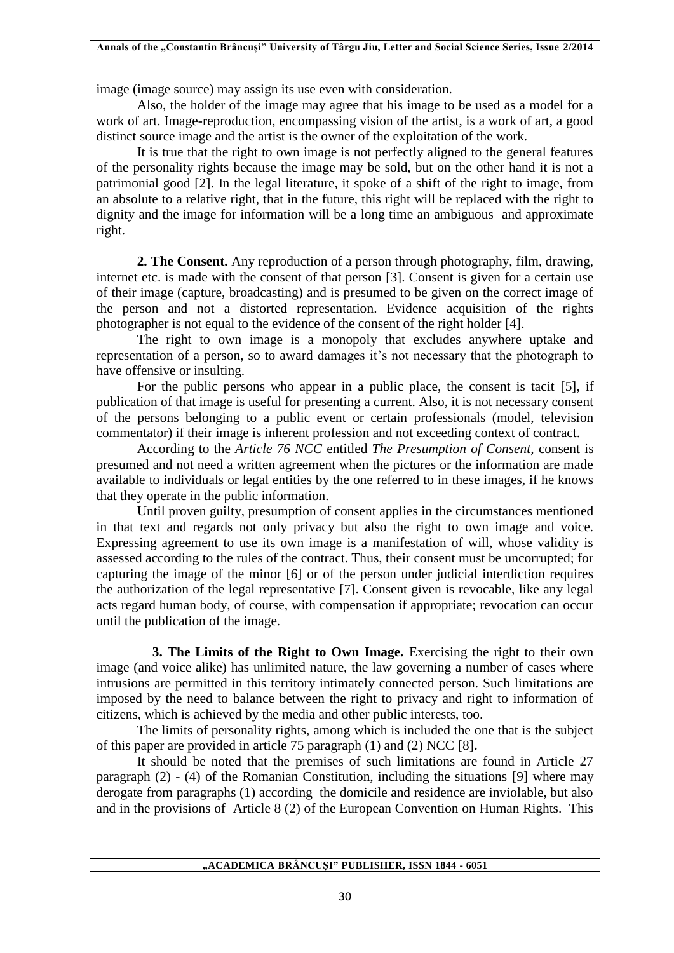image (image source) may assign its use even with consideration.

Also, the holder of the image may agree that his image to be used as a model for a work of art. Image-reproduction, encompassing vision of the artist, is a work of art, a good distinct source image and the artist is the owner of the exploitation of the work.

It is true that the right to own image is not perfectly aligned to the general features of the personality rights because the image may be sold, but on the other hand it is not a patrimonial good [2]. In the legal literature, it spoke of a shift of the right to image, from an absolute to a relative right, that in the future, this right will be replaced with the right to dignity and the image for information will be a long time an ambiguous and approximate right.

**2. The Consent.** Any reproduction of a person through photography, film, drawing, internet etc. is made with the consent of that person [3]. Consent is given for a certain use of their image (capture, broadcasting) and is presumed to be given on the correct image of the person and not a distorted representation. Evidence acquisition of the rights photographer is not equal to the evidence of the consent of the right holder [4].

The right to own image is a monopoly that excludes anywhere uptake and representation of a person, so to award damages it's not necessary that the photograph to have offensive or insulting.

For the public persons who appear in a public place, the consent is tacit [5], if publication of that image is useful for presenting a current. Also, it is not necessary consent of the persons belonging to a public event or certain professionals (model, television commentator) if their image is inherent profession and not exceeding context of contract.

According to the *Article 76 NCC* entitled *The Presumption of Consent,* consent is presumed and not need a written agreement when the pictures or the information are made available to individuals or legal entities by the one referred to in these images, if he knows that they operate in the public information.

Until proven guilty, presumption of consent applies in the circumstances mentioned in that text and regards not only privacy but also the right to own image and voice. Expressing agreement to use its own image is a manifestation of will, whose validity is assessed according to the rules of the contract. Thus, their consent must be uncorrupted; for capturing the image of the minor [6] or of the person under judicial interdiction requires the authorization of the legal representative [7]. Consent given is revocable, like any legal acts regard human body, of course, with compensation if appropriate; revocation can occur until the publication of the image.

**3. The Limits of the Right to Own Image.** Exercising the right to their own image (and voice alike) has unlimited nature, the law governing a number of cases where intrusions are permitted in this territory intimately connected person. Such limitations are imposed by the need to balance between the right to privacy and right to information of citizens, which is achieved by the media and other public interests, too.

The limits of personality rights, among which is included the one that is the subject of this paper are provided in article 75 paragraph (1) and (2) NCC [8]**.**

It should be noted that the premises of such limitations are found in Article 27 paragraph (2) - (4) of the Romanian Constitution, including the situations [9] where may derogate from paragraphs (1) according the domicile and residence are inviolable, but also and in the provisions of Article 8 (2) of the European Convention on Human Rights. This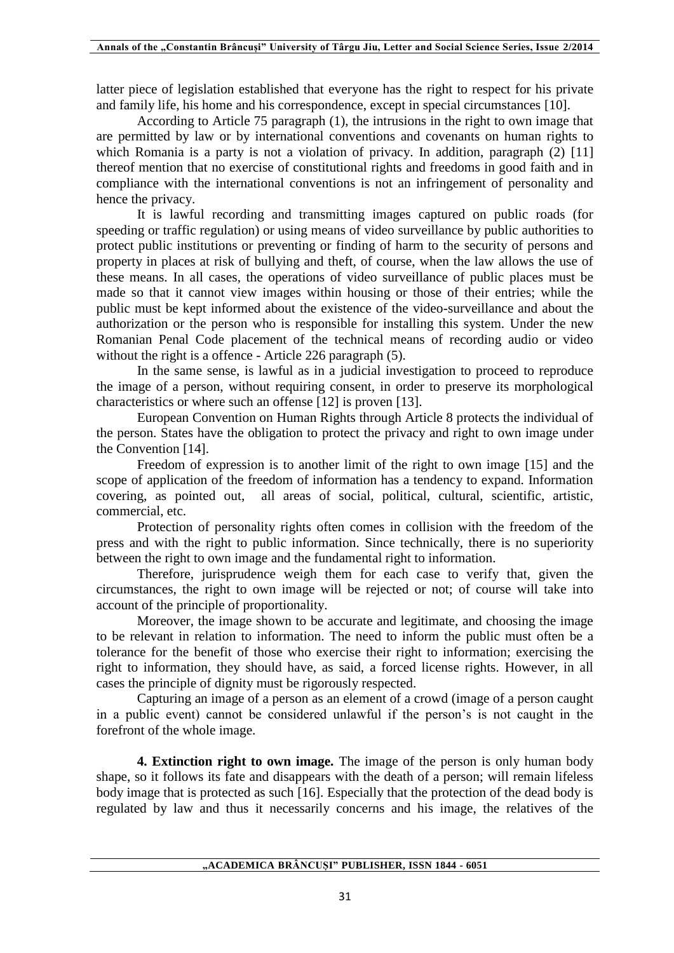latter piece of legislation established that everyone has the right to respect for his private and family life, his home and his correspondence, except in special circumstances [10].

According to Article 75 paragraph (1), the intrusions in the right to own image that are permitted by law or by international conventions and covenants on human rights to which Romania is a party is not a violation of privacy. In addition, paragraph (2) [11] thereof mention that no exercise of constitutional rights and freedoms in good faith and in compliance with the international conventions is not an infringement of personality and hence the privacy.

It is lawful recording and transmitting images captured on public roads (for speeding or traffic regulation) or using means of video surveillance by public authorities to protect public institutions or preventing or finding of harm to the security of persons and property in places at risk of bullying and theft, of course, when the law allows the use of these means. In all cases, the operations of video surveillance of public places must be made so that it cannot view images within housing or those of their entries; while the public must be kept informed about the existence of the video-surveillance and about the authorization or the person who is responsible for installing this system. Under the new Romanian Penal Code placement of the technical means of recording audio or video without the right is a offence - Article 226 paragraph (5).

In the same sense, is lawful as in a judicial investigation to proceed to reproduce the image of a person, without requiring consent, in order to preserve its morphological characteristics or where such an offense [12] is proven [13].

European Convention on Human Rights through Article 8 protects the individual of the person. States have the obligation to protect the privacy and right to own image under the Convention [14].

Freedom of expression is to another limit of the right to own image [15] and the scope of application of the freedom of information has a tendency to expand. Information covering, as pointed out, all areas of social, political, cultural, scientific, artistic, commercial, etc.

Protection of personality rights often comes in collision with the freedom of the press and with the right to public information. Since technically, there is no superiority between the right to own image and the fundamental right to information.

Therefore, jurisprudence weigh them for each case to verify that, given the circumstances, the right to own image will be rejected or not; of course will take into account of the principle of proportionality.

Moreover, the image shown to be accurate and legitimate, and choosing the image to be relevant in relation to information. The need to inform the public must often be a tolerance for the benefit of those who exercise their right to information; exercising the right to information, they should have, as said, a forced license rights. However, in all cases the principle of dignity must be rigorously respected.

Capturing an image of a person as an element of a crowd (image of a person caught in a public event) cannot be considered unlawful if the person's is not caught in the forefront of the whole image.

**4. Extinction right to own image.** The image of the person is only human body shape, so it follows its fate and disappears with the death of a person; will remain lifeless body image that is protected as such [16]. Especially that the protection of the dead body is regulated by law and thus it necessarily concerns and his image, the relatives of the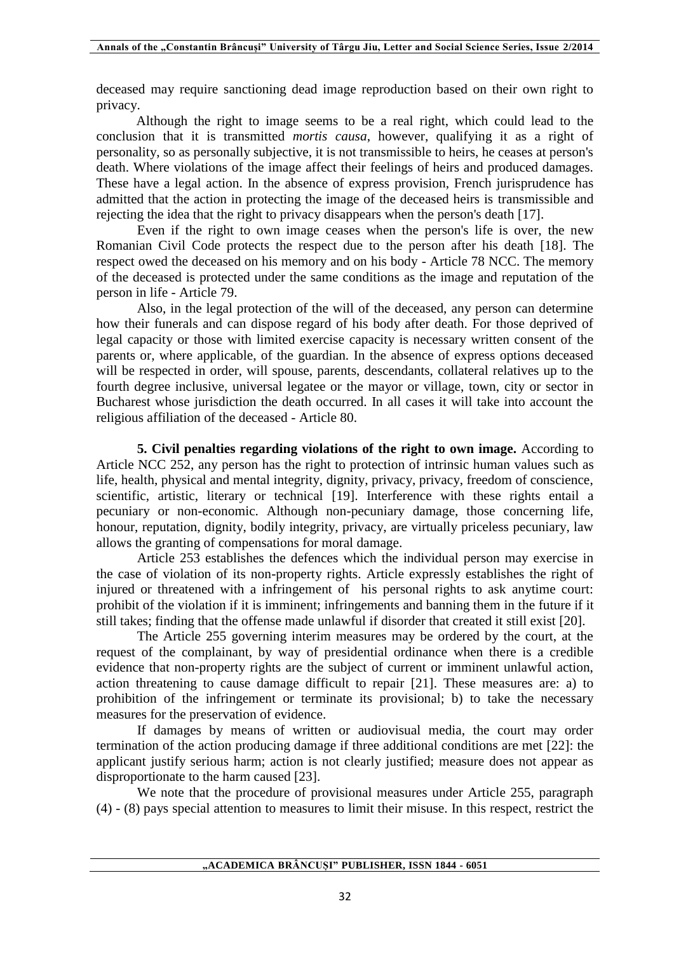deceased may require sanctioning dead image reproduction based on their own right to privacy.

Although the right to image seems to be a real right, which could lead to the conclusion that it is transmitted *mortis causa*, however, qualifying it as a right of personality, so as personally subjective, it is not transmissible to heirs, he ceases at person's death. Where violations of the image affect their feelings of heirs and produced damages. These have a legal action. In the absence of express provision, French jurisprudence has admitted that the action in protecting the image of the deceased heirs is transmissible and rejecting the idea that the right to privacy disappears when the person's death [17].

Even if the right to own image ceases when the person's life is over, the new Romanian Civil Code protects the respect due to the person after his death [18]. The respect owed the deceased on his memory and on his body - Article 78 NCC. The memory of the deceased is protected under the same conditions as the image and reputation of the person in life - Article 79.

Also, in the legal protection of the will of the deceased, any person can determine how their funerals and can dispose regard of his body after death. For those deprived of legal capacity or those with limited exercise capacity is necessary written consent of the parents or, where applicable, of the guardian. In the absence of express options deceased will be respected in order, will spouse, parents, descendants, collateral relatives up to the fourth degree inclusive, universal legatee or the mayor or village, town, city or sector in Bucharest whose jurisdiction the death occurred. In all cases it will take into account the religious affiliation of the deceased - Article 80.

**5. Civil penalties regarding violations of the right to own image.** According to Article NCC 252, any person has the right to protection of intrinsic human values such as life, health, physical and mental integrity, dignity, privacy, privacy, freedom of conscience, scientific, artistic, literary or technical [19]. Interference with these rights entail a pecuniary or non-economic. Although non-pecuniary damage, those concerning life, honour, reputation, dignity, bodily integrity, privacy, are virtually priceless pecuniary, law allows the granting of compensations for moral damage.

Article 253 establishes the defences which the individual person may exercise in the case of violation of its non-property rights. Article expressly establishes the right of injured or threatened with a infringement of his personal rights to ask anytime court: prohibit of the violation if it is imminent; infringements and banning them in the future if it still takes; finding that the offense made unlawful if disorder that created it still exist [20].

The Article 255 governing interim measures may be ordered by the court, at the request of the complainant, by way of presidential ordinance when there is a credible evidence that non-property rights are the subject of current or imminent unlawful action, action threatening to cause damage difficult to repair [21]. These measures are: a) to prohibition of the infringement or terminate its provisional; b) to take the necessary measures for the preservation of evidence.

If damages by means of written or audiovisual media, the court may order termination of the action producing damage if three additional conditions are met [22]: the applicant justify serious harm; action is not clearly justified; measure does not appear as disproportionate to the harm caused [23].

We note that the procedure of provisional measures under Article 255, paragraph (4) - (8) pays special attention to measures to limit their misuse. In this respect, restrict the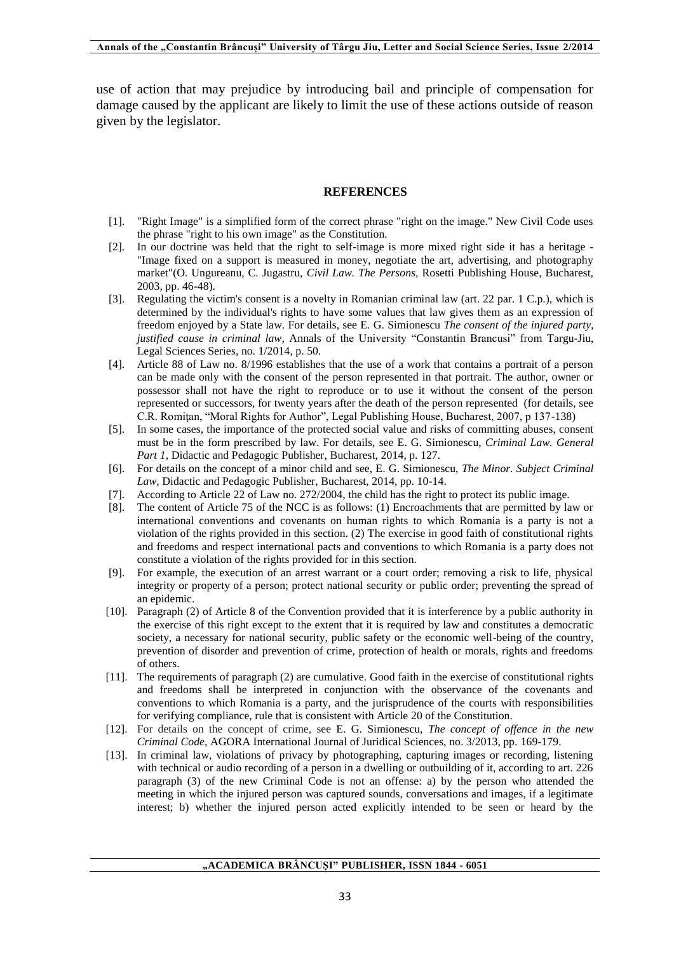use of action that may prejudice by introducing bail and principle of compensation for damage caused by the applicant are likely to limit the use of these actions outside of reason given by the legislator.

## **REFERENCES**

- [1]. "Right Image" is a simplified form of the correct phrase "right on the image." New Civil Code uses the phrase "right to his own image" as the Constitution.
- [2]. In our doctrine was held that the right to self-image is more mixed right side it has a heritage "Image fixed on a support is measured in money, negotiate the art, advertising, and photography market"(O. Ungureanu, C. Jugastru, *Civil Law. The Persons,* Rosetti Publishing House, Bucharest, 2003, pp. 46-48).
- [3]. Regulating the victim's consent is a novelty in Romanian criminal law (art. 22 par. 1 C.p.), which is determined by the individual's rights to have some values that law gives them as an expression of freedom enjoyed by a State law. For details, see E. G. Simionescu *The consent of the injured party, justified cause in criminal law, Annals of the University "Constantin Brancusi" from Targu-Jiu,* Legal Sciences Series, no. 1/2014, p. 50.
- [4]. Article 88 of Law no. 8/1996 establishes that the use of a work that contains a portrait of a person can be made only with the consent of the person represented in that portrait. The author, owner or possessor shall not have the right to reproduce or to use it without the consent of the person represented or successors, for twenty years after the death of the person represented (for details, see C.R. Romitan, "Moral Rights for Author", Legal Publishing House, Bucharest, 2007, p 137-138)
- [5]. In some cases, the importance of the protected social value and risks of committing abuses, consent must be in the form prescribed by law. For details, see E. G. Simionescu, *Criminal Law. General Part 1,* Didactic and Pedagogic Publisher, Bucharest, 2014, p. 127.
- [6]. For details on the concept of a minor child and see, E. G. Simionescu, *The Minor. Subject Criminal Law*, Didactic and Pedagogic Publisher, Bucharest, 2014, pp. 10-14.
- [7]. According to Article 22 of Law no. 272/2004, the child has the right to protect its public image.
- [8]. The content of Article 75 of the NCC is as follows: (1) Encroachments that are permitted by law or international conventions and covenants on human rights to which Romania is a party is not a violation of the rights provided in this section. (2) The exercise in good faith of constitutional rights and freedoms and respect international pacts and conventions to which Romania is a party does not constitute a violation of the rights provided for in this section.
- [9]. For example, the execution of an arrest warrant or a court order; removing a risk to life, physical integrity or property of a person; protect national security or public order; preventing the spread of an epidemic.
- [10]. Paragraph (2) of Article 8 of the Convention provided that it is interference by a public authority in the exercise of this right except to the extent that it is required by law and constitutes a democratic society, a necessary for national security, public safety or the economic well-being of the country, prevention of disorder and prevention of crime, protection of health or morals, rights and freedoms of others.
- [11]. The requirements of paragraph (2) are cumulative. Good faith in the exercise of constitutional rights and freedoms shall be interpreted in conjunction with the observance of the covenants and conventions to which Romania is a party, and the jurisprudence of the courts with responsibilities for verifying compliance, rule that is consistent with Article 20 of the Constitution.
- [12]. For details on the concept of crime, see E. G. Simionescu, *The concept of offence in the new Criminal Code*, AGORA International Journal of Juridical Sciences, no. 3/2013, pp. 169-179.
- [13]. In criminal law, violations of privacy by photographing, capturing images or recording, listening with technical or audio recording of a person in a dwelling or outbuilding of it, according to art. 226 paragraph (3) of the new Criminal Code is not an offense: a) by the person who attended the meeting in which the injured person was captured sounds, conversations and images, if a legitimate interest; b) whether the injured person acted explicitly intended to be seen or heard by the